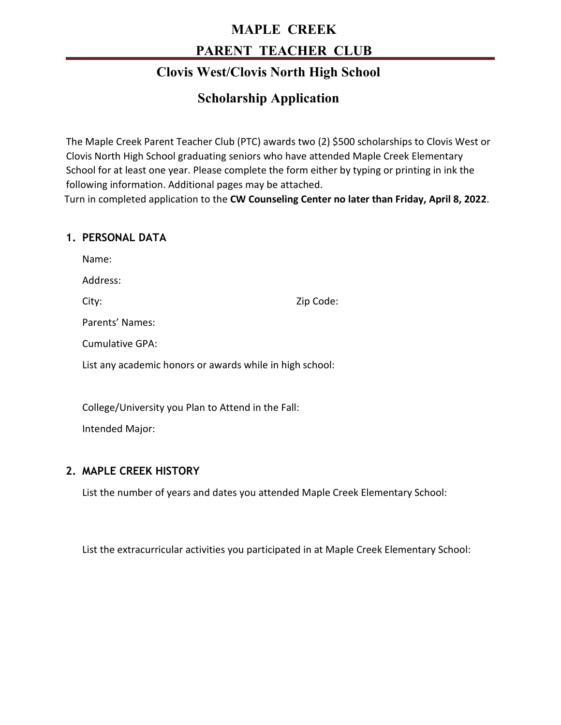# **MAPLE CREEK PARENT TEACHER CLUB**

## **Clovis West/Clovis North High School**

## **Scholarship Application**

The Maple Creek Parent Teacher Club (PTC) awards two (2) \$500 scholarships to Clovis West or Clovis North High School graduating seniors who have attended Maple Creek Elementary School for at least one year. Please complete the form either by typing or printing in ink the following information. Additional pages may be attached. Turn in completed application to the **CW Counseling Center no later than Friday, April 8, 2022**.

### **1. PERSONAL DATA**

Name:

Address:

City: Zip Code:

Parents' Names:

Cumulative GPA:

List any academic honors or awards while in high school:

College/University you Plan to Attend in the Fall:

Intended Major:

### **2. MAPLE CREEK HISTORY**

List the number of years and dates you attended Maple Creek Elementary School:

List the extracurricular activities you participated in at Maple Creek Elementary School: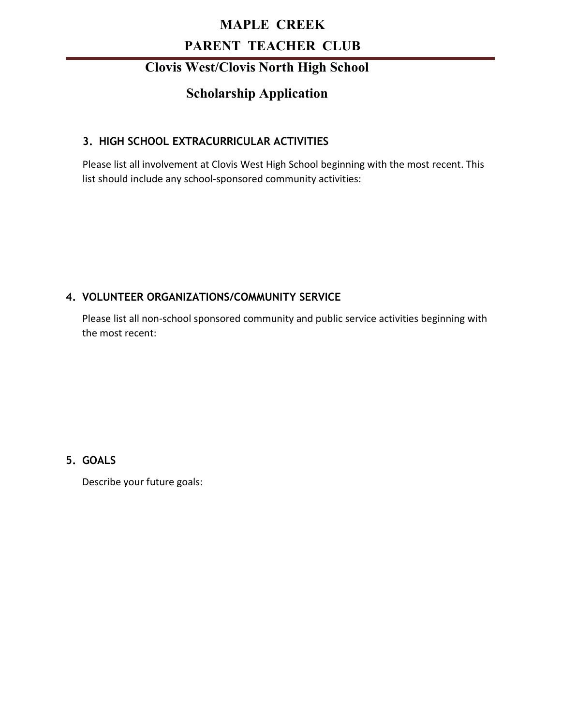# **MAPLE CREEK PARENT TEACHER CLUB**

### **Clovis West/Clovis North High School**

## **Scholarship Application**

### **3. HIGH SCHOOL EXTRACURRICULAR ACTIVITIES**

Please list all involvement at Clovis West High School beginning with the most recent. This list should include any school-sponsored community activities:

### **4. VOLUNTEER ORGANIZATIONS/COMMUNITY SERVICE**

Please list all non-school sponsored community and public service activities beginning with the most recent:

**5. GOALS**

Describe your future goals: